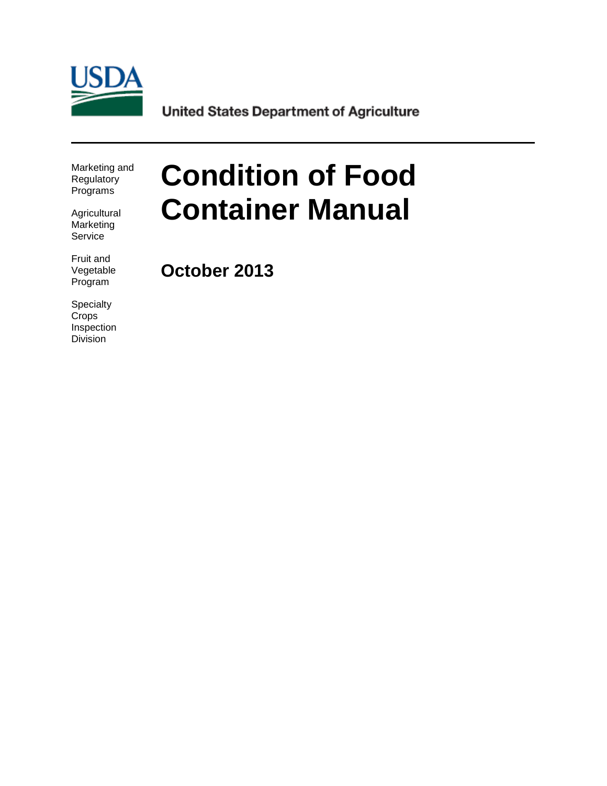

**United States Department of Agriculture** 

Marketing and Regulatory Programs

**Agricultural Marketing** Service

Fruit and Vegetable Program

**Specialty Crops** Inspection Division

# **Condition of Food Container Manual**

**October 2013**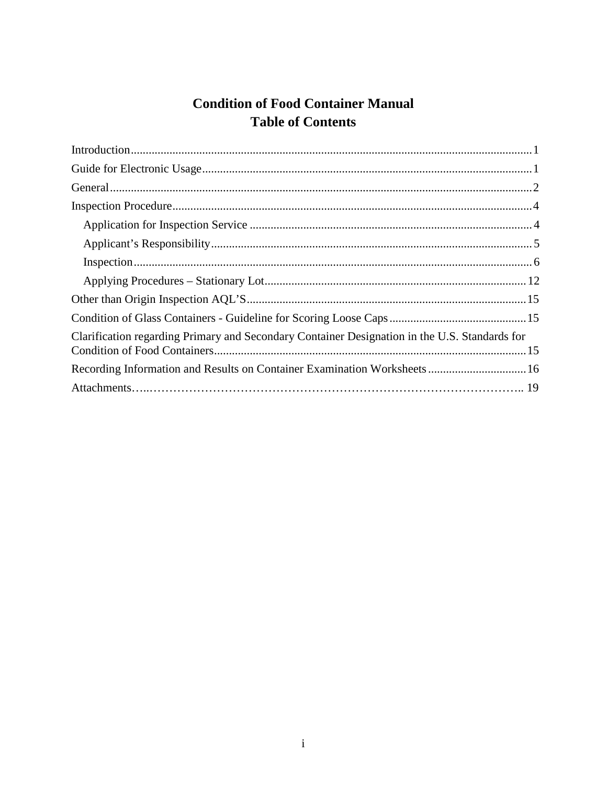# **Condition of Food Container Manual Table of Contents**

| Clarification regarding Primary and Secondary Container Designation in the U.S. Standards for |
|-----------------------------------------------------------------------------------------------|
| Recording Information and Results on Container Examination Worksheets 16                      |
|                                                                                               |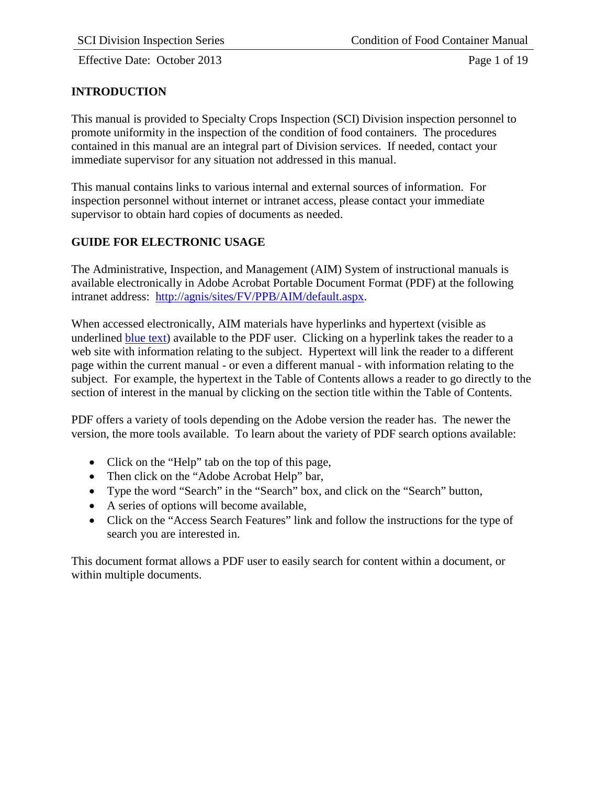Effective Date: October 2013 Page 1 of 19

# <span id="page-2-0"></span>**INTRODUCTION**

This manual is provided to Specialty Crops Inspection (SCI) Division inspection personnel to promote uniformity in the inspection of the condition of food containers. The procedures contained in this manual are an integral part of Division services. If needed, contact your immediate supervisor for any situation not addressed in this manual.

This manual contains links to various internal and external sources of information. For inspection personnel without internet or intranet access, please contact your immediate supervisor to obtain hard copies of documents as needed.

# <span id="page-2-1"></span>**GUIDE FOR ELECTRONIC USAGE**

The Administrative, Inspection, and Management (AIM) System of instructional manuals is available electronically in Adobe Acrobat Portable Document Format (PDF) at the following intranet address: [http://agnis/sites/FV/PPB/AIM/default.aspx.](http://agnis/sites/FV/PPB/AIM/default.aspx)

When accessed electronically, AIM materials have hyperlinks and hypertext (visible as underlined blue text) available to the PDF user. Clicking on a hyperlink takes the reader to a web site with information relating to the subject. Hypertext will link the reader to a different page within the current manual - or even a different manual - with information relating to the subject. For example, the hypertext in the Table of Contents allows a reader to go directly to the section of interest in the manual by clicking on the section title within the Table of Contents.

PDF offers a variety of tools depending on the Adobe version the reader has. The newer the version, the more tools available. To learn about the variety of PDF search options available:

- Click on the "Help" tab on the top of this page,
- Then click on the "Adobe Acrobat Help" bar,
- Type the word "Search" in the "Search" box, and click on the "Search" button,
- A series of options will become available,
- Click on the "Access Search Features" link and follow the instructions for the type of search you are interested in.

This document format allows a PDF user to easily search for content within a document, or within multiple documents.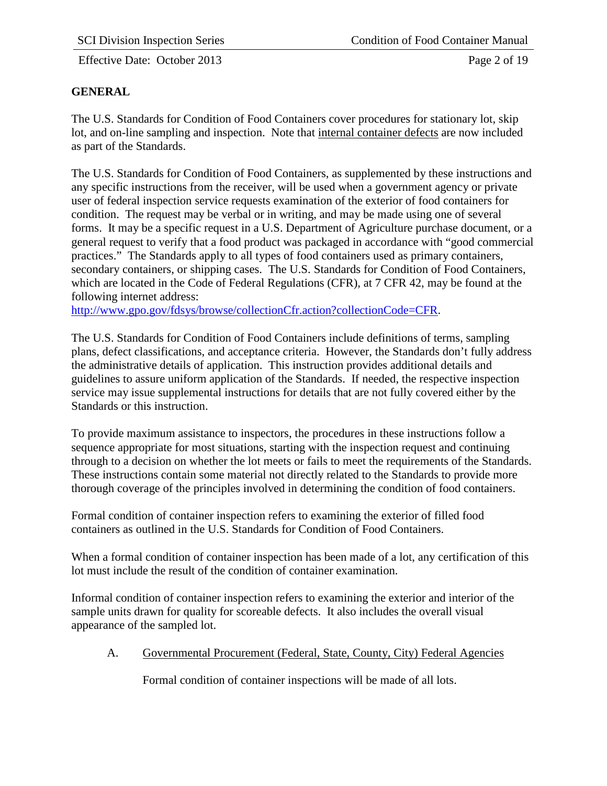Effective Date: October 2013 Page 2 of 19

# <span id="page-3-0"></span>**GENERAL**

The U.S. Standards for Condition of Food Containers cover procedures for stationary lot, skip lot, and on-line sampling and inspection. Note that internal container defects are now included as part of the Standards.

The U.S. Standards for Condition of Food Containers, as supplemented by these instructions and any specific instructions from the receiver, will be used when a government agency or private user of federal inspection service requests examination of the exterior of food containers for condition. The request may be verbal or in writing, and may be made using one of several forms. It may be a specific request in a U.S. Department of Agriculture purchase document, or a general request to verify that a food product was packaged in accordance with "good commercial practices." The Standards apply to all types of food containers used as primary containers, secondary containers, or shipping cases. The U.S. Standards for Condition of Food Containers, which are located in the Code of Federal Regulations (CFR), at 7 CFR 42, may be found at the following internet address:

[http://www.gpo.gov/fdsys/browse/collectionCfr.action?collectionCode=CFR.](http://www.gpo.gov/fdsys/browse/collectionCfr.action?collectionCode=CFR)

The U.S. Standards for Condition of Food Containers include definitions of terms, sampling plans, defect classifications, and acceptance criteria. However, the Standards don't fully address the administrative details of application. This instruction provides additional details and guidelines to assure uniform application of the Standards. If needed, the respective inspection service may issue supplemental instructions for details that are not fully covered either by the Standards or this instruction.

To provide maximum assistance to inspectors, the procedures in these instructions follow a sequence appropriate for most situations, starting with the inspection request and continuing through to a decision on whether the lot meets or fails to meet the requirements of the Standards. These instructions contain some material not directly related to the Standards to provide more thorough coverage of the principles involved in determining the condition of food containers.

Formal condition of container inspection refers to examining the exterior of filled food containers as outlined in the U.S. Standards for Condition of Food Containers.

When a formal condition of container inspection has been made of a lot, any certification of this lot must include the result of the condition of container examination.

Informal condition of container inspection refers to examining the exterior and interior of the sample units drawn for quality for scoreable defects. It also includes the overall visual appearance of the sampled lot.

A. Governmental Procurement (Federal, State, County, City) Federal Agencies

Formal condition of container inspections will be made of all lots.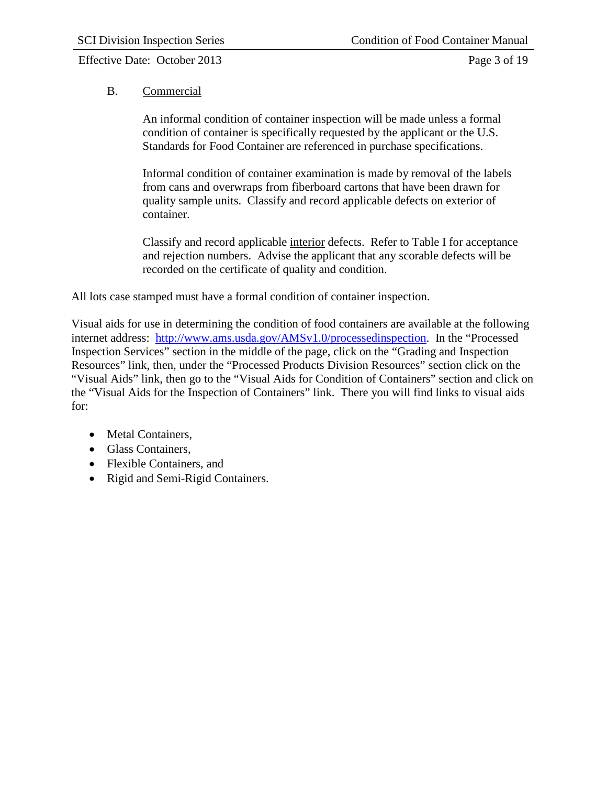Effective Date: October 2013 Page 3 of 19

### B. Commercial

An informal condition of container inspection will be made unless a formal condition of container is specifically requested by the applicant or the U.S. Standards for Food Container are referenced in purchase specifications.

Informal condition of container examination is made by removal of the labels from cans and overwraps from fiberboard cartons that have been drawn for quality sample units. Classify and record applicable defects on exterior of container.

Classify and record applicable interior defects. Refer to Table I for acceptance and rejection numbers. Advise the applicant that any scorable defects will be recorded on the certificate of quality and condition.

All lots case stamped must have a formal condition of container inspection.

Visual aids for use in determining the condition of food containers are available at the following internet address: [http://www.ams.usda.gov/AMSv1.0/processedinspection.](http://www.ams.usda.gov/AMSv1.0/processedinspection) In the "Processed Inspection Services" section in the middle of the page, click on the "Grading and Inspection Resources" link, then, under the "Processed Products Division Resources" section click on the "Visual Aids" link, then go to the "Visual Aids for Condition of Containers" section and click on the "Visual Aids for the Inspection of Containers" link. There you will find links to visual aids for:

- Metal Containers,
- Glass Containers,
- Flexible Containers, and
- Rigid and Semi-Rigid Containers.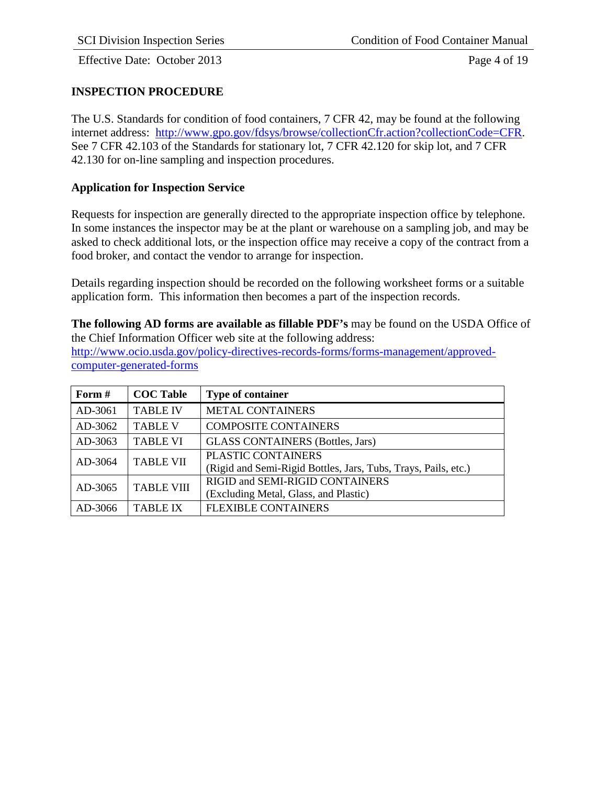Effective Date: October 2013 Page 4 of 19

#### <span id="page-5-0"></span>**INSPECTION PROCEDURE**

The U.S. Standards for condition of food containers, 7 CFR 42, may be found at the following internet address: [http://www.gpo.gov/fdsys/browse/collectionCfr.action?collectionCode=CFR.](http://www.gpo.gov/fdsys/browse/collectionCfr.action?collectionCode=CFR) See 7 CFR 42.103 of the Standards for stationary lot, 7 CFR 42.120 for skip lot, and 7 CFR 42.130 for on-line sampling and inspection procedures.

#### <span id="page-5-1"></span>**Application for Inspection Service**

Requests for inspection are generally directed to the appropriate inspection office by telephone. In some instances the inspector may be at the plant or warehouse on a sampling job, and may be asked to check additional lots, or the inspection office may receive a copy of the contract from a food broker, and contact the vendor to arrange for inspection.

Details regarding inspection should be recorded on the following worksheet forms or a suitable application form. This information then becomes a part of the inspection records.

**The following AD forms are available as fillable PDF's** may be found on the USDA Office of the Chief Information Officer web site at the following address: [http://www.ocio.usda.gov/policy-directives-records-forms/forms-management/approved-](http://www.ocio.usda.gov/policy-directives-records-forms/forms-management/approved-computer-generated-forms)

[computer-generated-forms](http://www.ocio.usda.gov/policy-directives-records-forms/forms-management/approved-computer-generated-forms)

| Form $#$ | <b>COC Table</b>  | <b>Type of container</b>                                                             |
|----------|-------------------|--------------------------------------------------------------------------------------|
| AD-3061  | <b>TABLE IV</b>   | <b>METAL CONTAINERS</b>                                                              |
| AD-3062  | <b>TABLE V</b>    | <b>COMPOSITE CONTAINERS</b>                                                          |
| AD-3063  | <b>TABLE VI</b>   | <b>GLASS CONTAINERS (Bottles, Jars)</b>                                              |
| AD-3064  | <b>TABLE VII</b>  | PLASTIC CONTAINERS<br>(Rigid and Semi-Rigid Bottles, Jars, Tubs, Trays, Pails, etc.) |
| AD-3065  | <b>TABLE VIII</b> | RIGID and SEMI-RIGID CONTAINERS<br>(Excluding Metal, Glass, and Plastic)             |
| AD-3066  | <b>TABLE IX</b>   | <b>FLEXIBLE CONTAINERS</b>                                                           |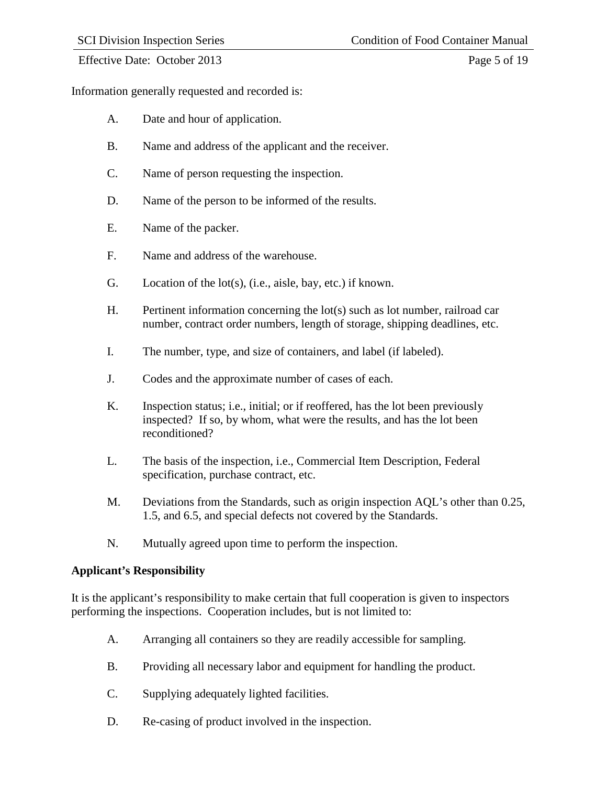Effective Date: October 2013 Page 5 of 19

Information generally requested and recorded is:

- A. Date and hour of application.
- B. Name and address of the applicant and the receiver.
- C. Name of person requesting the inspection.
- D. Name of the person to be informed of the results.
- E. Name of the packer.
- F. Name and address of the warehouse.
- G. Location of the lot(s), (i.e., aisle, bay, etc.) if known.
- H. Pertinent information concerning the lot(s) such as lot number, railroad car number, contract order numbers, length of storage, shipping deadlines, etc.
- I. The number, type, and size of containers, and label (if labeled).
- J. Codes and the approximate number of cases of each.
- K. Inspection status; i.e., initial; or if reoffered, has the lot been previously inspected? If so, by whom, what were the results, and has the lot been reconditioned?
- L. The basis of the inspection, i.e., Commercial Item Description, Federal specification, purchase contract, etc.
- M. Deviations from the Standards, such as origin inspection AQL's other than 0.25, 1.5, and 6.5, and special defects not covered by the Standards.
- N. Mutually agreed upon time to perform the inspection.

#### <span id="page-6-0"></span>**Applicant's Responsibility**

It is the applicant's responsibility to make certain that full cooperation is given to inspectors performing the inspections. Cooperation includes, but is not limited to:

- A. Arranging all containers so they are readily accessible for sampling.
- B. Providing all necessary labor and equipment for handling the product.
- C. Supplying adequately lighted facilities.
- D. Re-casing of product involved in the inspection.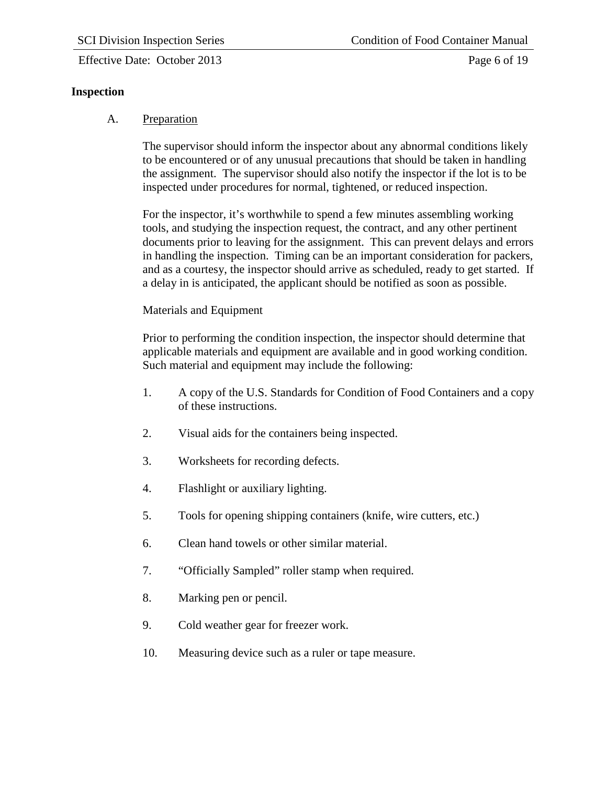# <span id="page-7-0"></span>**Inspection**

# A. Preparation

The supervisor should inform the inspector about any abnormal conditions likely to be encountered or of any unusual precautions that should be taken in handling the assignment. The supervisor should also notify the inspector if the lot is to be inspected under procedures for normal, tightened, or reduced inspection.

For the inspector, it's worthwhile to spend a few minutes assembling working tools, and studying the inspection request, the contract, and any other pertinent documents prior to leaving for the assignment. This can prevent delays and errors in handling the inspection. Timing can be an important consideration for packers, and as a courtesy, the inspector should arrive as scheduled, ready to get started. If a delay in is anticipated, the applicant should be notified as soon as possible.

# Materials and Equipment

Prior to performing the condition inspection, the inspector should determine that applicable materials and equipment are available and in good working condition. Such material and equipment may include the following:

- 1. A copy of the U.S. Standards for Condition of Food Containers and a copy of these instructions.
- 2. Visual aids for the containers being inspected.
- 3. Worksheets for recording defects.
- 4. Flashlight or auxiliary lighting.
- 5. Tools for opening shipping containers (knife, wire cutters, etc.)
- 6. Clean hand towels or other similar material.
- 7. "Officially Sampled" roller stamp when required.
- 8. Marking pen or pencil.
- 9. Cold weather gear for freezer work.
- 10. Measuring device such as a ruler or tape measure.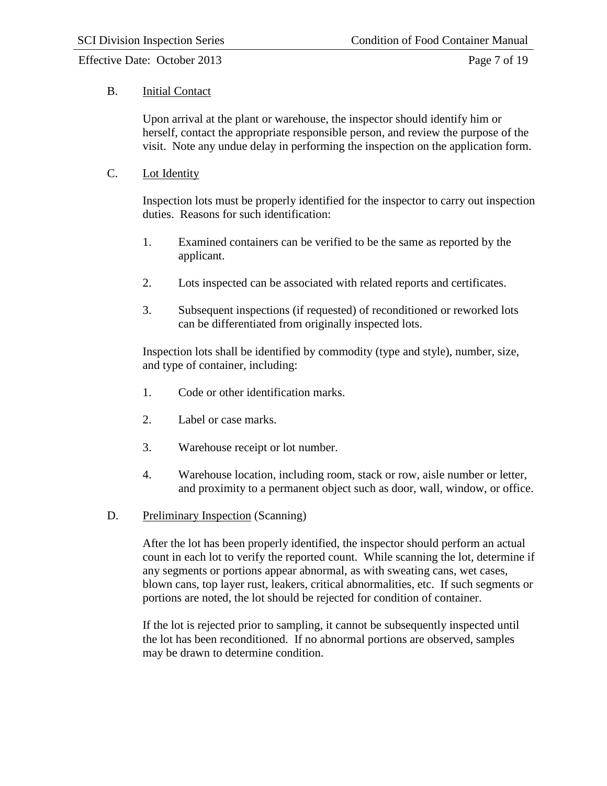#### Effective Date: October 2013 Page 7 of 19

#### B. Initial Contact

Upon arrival at the plant or warehouse, the inspector should identify him or herself, contact the appropriate responsible person, and review the purpose of the visit. Note any undue delay in performing the inspection on the application form.

#### C. Lot Identity

Inspection lots must be properly identified for the inspector to carry out inspection duties. Reasons for such identification:

- 1. Examined containers can be verified to be the same as reported by the applicant.
- 2. Lots inspected can be associated with related reports and certificates.
- 3. Subsequent inspections (if requested) of reconditioned or reworked lots can be differentiated from originally inspected lots.

Inspection lots shall be identified by commodity (type and style), number, size, and type of container, including:

- 1. Code or other identification marks.
- 2. Label or case marks.
- 3. Warehouse receipt or lot number.
- 4. Warehouse location, including room, stack or row, aisle number or letter, and proximity to a permanent object such as door, wall, window, or office.
- D. Preliminary Inspection (Scanning)

After the lot has been properly identified, the inspector should perform an actual count in each lot to verify the reported count. While scanning the lot, determine if any segments or portions appear abnormal, as with sweating cans, wet cases, blown cans, top layer rust, leakers, critical abnormalities, etc. If such segments or portions are noted, the lot should be rejected for condition of container.

If the lot is rejected prior to sampling, it cannot be subsequently inspected until the lot has been reconditioned. If no abnormal portions are observed, samples may be drawn to determine condition.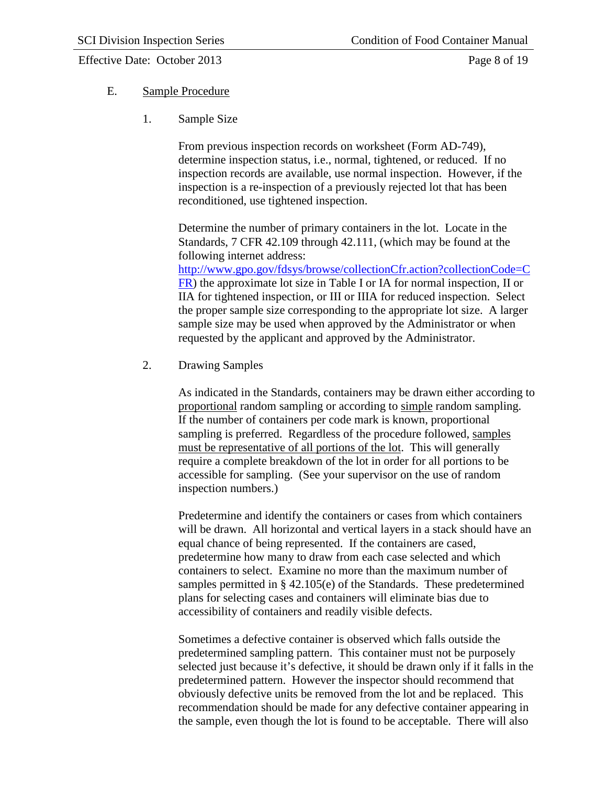#### Effective Date: October 2013 Page 8 of 19

#### E. Sample Procedure

1. Sample Size

From previous inspection records on worksheet (Form AD-749), determine inspection status, i.e., normal, tightened, or reduced. If no inspection records are available, use normal inspection. However, if the inspection is a re-inspection of a previously rejected lot that has been reconditioned, use tightened inspection.

Determine the number of primary containers in the lot. Locate in the Standards, 7 CFR 42.109 through 42.111, (which may be found at the following internet address:

[http://www.gpo.gov/fdsys/browse/collectionCfr.action?collectionCode=C](http://www.gpo.gov/fdsys/browse/collectionCfr.action?collectionCode=CFR) [FR\)](http://www.gpo.gov/fdsys/browse/collectionCfr.action?collectionCode=CFR) the approximate lot size in Table I or IA for normal inspection, II or IIA for tightened inspection, or III or IIIA for reduced inspection. Select the proper sample size corresponding to the appropriate lot size. A larger sample size may be used when approved by the Administrator or when requested by the applicant and approved by the Administrator.

2. Drawing Samples

As indicated in the Standards, containers may be drawn either according to proportional random sampling or according to simple random sampling. If the number of containers per code mark is known, proportional sampling is preferred. Regardless of the procedure followed, samples must be representative of all portions of the lot. This will generally require a complete breakdown of the lot in order for all portions to be accessible for sampling. (See your supervisor on the use of random inspection numbers.)

Predetermine and identify the containers or cases from which containers will be drawn. All horizontal and vertical layers in a stack should have an equal chance of being represented. If the containers are cased, predetermine how many to draw from each case selected and which containers to select. Examine no more than the maximum number of samples permitted in § 42.105(e) of the Standards. These predetermined plans for selecting cases and containers will eliminate bias due to accessibility of containers and readily visible defects.

Sometimes a defective container is observed which falls outside the predetermined sampling pattern. This container must not be purposely selected just because it's defective, it should be drawn only if it falls in the predetermined pattern. However the inspector should recommend that obviously defective units be removed from the lot and be replaced. This recommendation should be made for any defective container appearing in the sample, even though the lot is found to be acceptable. There will also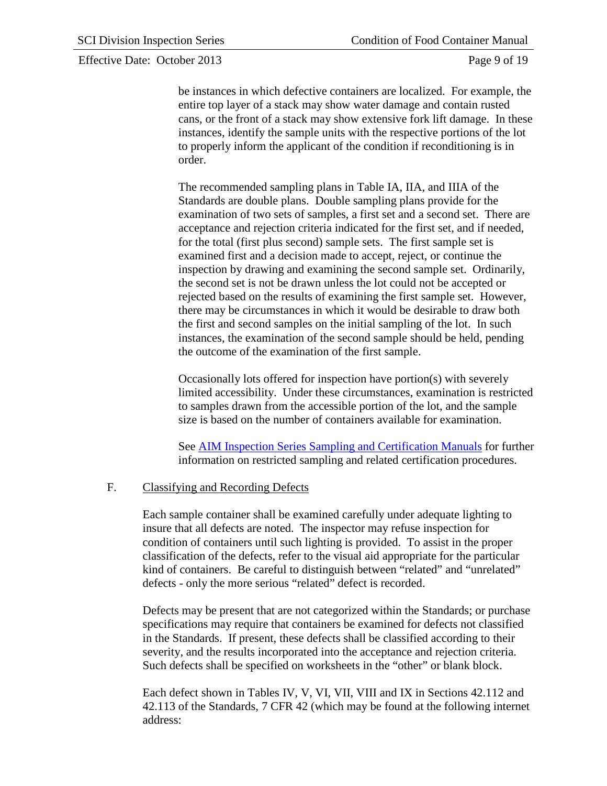#### Effective Date: October 2013 Page 9 of 19

be instances in which defective containers are localized. For example, the entire top layer of a stack may show water damage and contain rusted cans, or the front of a stack may show extensive fork lift damage. In these instances, identify the sample units with the respective portions of the lot to properly inform the applicant of the condition if reconditioning is in order.

The recommended sampling plans in Table IA, IIA, and IIIA of the Standards are double plans. Double sampling plans provide for the examination of two sets of samples, a first set and a second set. There are acceptance and rejection criteria indicated for the first set, and if needed, for the total (first plus second) sample sets. The first sample set is examined first and a decision made to accept, reject, or continue the inspection by drawing and examining the second sample set. Ordinarily, the second set is not be drawn unless the lot could not be accepted or rejected based on the results of examining the first sample set. However, there may be circumstances in which it would be desirable to draw both the first and second samples on the initial sampling of the lot. In such instances, the examination of the second sample should be held, pending the outcome of the examination of the first sample.

Occasionally lots offered for inspection have portion(s) with severely limited accessibility. Under these circumstances, examination is restricted to samples drawn from the accessible portion of the lot, and the sample size is based on the number of containers available for examination.

See AIM Inspection Series Sampling and Certification Manuals for further information on restricted sampling and related certification procedures.

#### F. Classifying and Recording Defects

Each sample container shall be examined carefully under adequate lighting to insure that all defects are noted. The inspector may refuse inspection for condition of containers until such lighting is provided. To assist in the proper classification of the defects, refer to the visual aid appropriate for the particular kind of containers. Be careful to distinguish between "related" and "unrelated" defects - only the more serious "related" defect is recorded.

Defects may be present that are not categorized within the Standards; or purchase specifications may require that containers be examined for defects not classified in the Standards. If present, these defects shall be classified according to their severity, and the results incorporated into the acceptance and rejection criteria. Such defects shall be specified on worksheets in the "other" or blank block.

Each defect shown in Tables IV, V, VI, VII, VIII and IX in Sections 42.112 and 42.113 of the Standards, 7 CFR 42 (which may be found at the following internet address: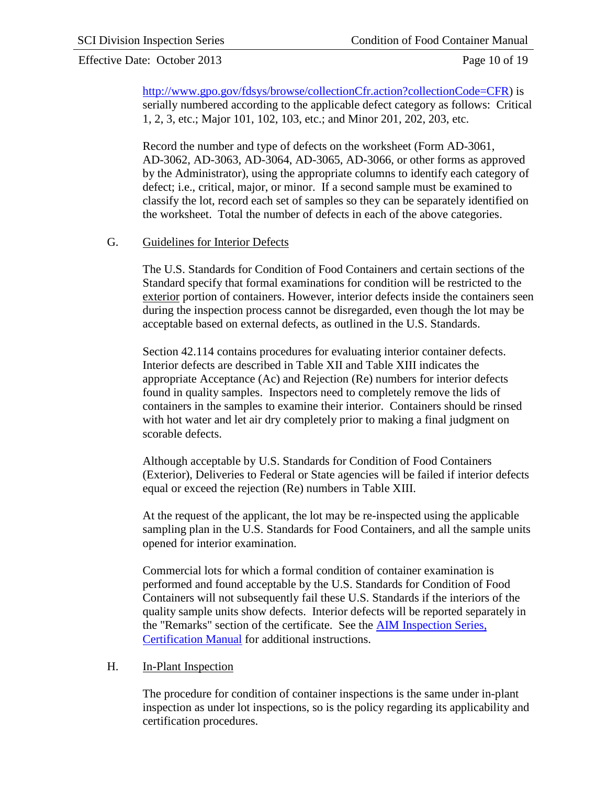#### Effective Date: October 2013 Page 10 of 19

[http://www.gpo.gov/fdsys/browse/collectionCfr.action?collectionCode=CFR\)](http://www.gpo.gov/fdsys/browse/collectionCfr.action?collectionCode=CFR) is serially numbered according to the applicable defect category as follows: Critical 1, 2, 3, etc.; Major 101, 102, 103, etc.; and Minor 201, 202, 203, etc.

Record the number and type of defects on the worksheet (Form AD-3061, AD-3062, AD-3063, AD-3064, AD-3065, AD-3066, or other forms as approved by the Administrator), using the appropriate columns to identify each category of defect; i.e., critical, major, or minor. If a second sample must be examined to classify the lot, record each set of samples so they can be separately identified on the worksheet. Total the number of defects in each of the above categories.

#### G. Guidelines for Interior Defects

The U.S. Standards for Condition of Food Containers and certain sections of the Standard specify that formal examinations for condition will be restricted to the exterior portion of containers. However, interior defects inside the containers seen during the inspection process cannot be disregarded, even though the lot may be acceptable based on external defects, as outlined in the U.S. Standards.

Section 42.114 contains procedures for evaluating interior container defects. Interior defects are described in Table XII and Table XIII indicates the appropriate Acceptance (Ac) and Rejection (Re) numbers for interior defects found in quality samples. Inspectors need to completely remove the lids of containers in the samples to examine their interior. Containers should be rinsed with hot water and let air dry completely prior to making a final judgment on scorable defects.

Although acceptable by U.S. Standards for Condition of Food Containers (Exterior), Deliveries to Federal or State agencies will be failed if interior defects equal or exceed the rejection (Re) numbers in Table XIII.

At the request of the applicant, the lot may be re-inspected using the applicable sampling plan in the U.S. Standards for Food Containers, and all the sample units opened for interior examination.

Commercial lots for which a formal condition of container examination is performed and found acceptable by the U.S. Standards for Condition of Food Containers will not subsequently fail these U.S. Standards if the interiors of the quality sample units show defects. Interior defects will be reported separately in the "Remarks" section of the certificate. See the AIM Inspection Series, Certification Manual for additional instructions.

#### H. In-Plant Inspection

The procedure for condition of container inspections is the same under in-plant inspection as under lot inspections, so is the policy regarding its applicability and certification procedures.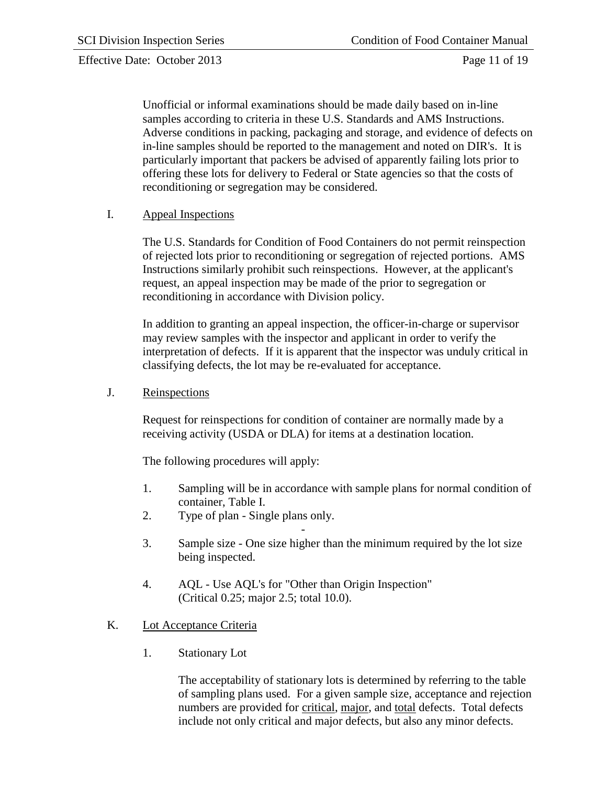Effective Date: October 2013 Page 11 of 19

Unofficial or informal examinations should be made daily based on in-line samples according to criteria in these U.S. Standards and AMS Instructions. Adverse conditions in packing, packaging and storage, and evidence of defects on in-line samples should be reported to the management and noted on DIR's. It is particularly important that packers be advised of apparently failing lots prior to offering these lots for delivery to Federal or State agencies so that the costs of reconditioning or segregation may be considered.

#### I. Appeal Inspections

The U.S. Standards for Condition of Food Containers do not permit reinspection of rejected lots prior to reconditioning or segregation of rejected portions. AMS Instructions similarly prohibit such reinspections. However, at the applicant's request, an appeal inspection may be made of the prior to segregation or reconditioning in accordance with Division policy.

In addition to granting an appeal inspection, the officer-in-charge or supervisor may review samples with the inspector and applicant in order to verify the interpretation of defects. If it is apparent that the inspector was unduly critical in classifying defects, the lot may be re-evaluated for acceptance.

J. Reinspections

Request for reinspections for condition of container are normally made by a receiving activity (USDA or DLA) for items at a destination location.

The following procedures will apply:

- 1. Sampling will be in accordance with sample plans for normal condition of container, Table I.
- 2. Type of plan Single plans only.
- 3. Sample size - One size higher than the minimum required by the lot size being inspected.
- 4. AQL Use AQL's for "Other than Origin Inspection" (Critical 0.25; major 2.5; total 10.0).

### K. Lot Acceptance Criteria

1. Stationary Lot

The acceptability of stationary lots is determined by referring to the table of sampling plans used. For a given sample size, acceptance and rejection numbers are provided for critical, major, and total defects. Total defects include not only critical and major defects, but also any minor defects.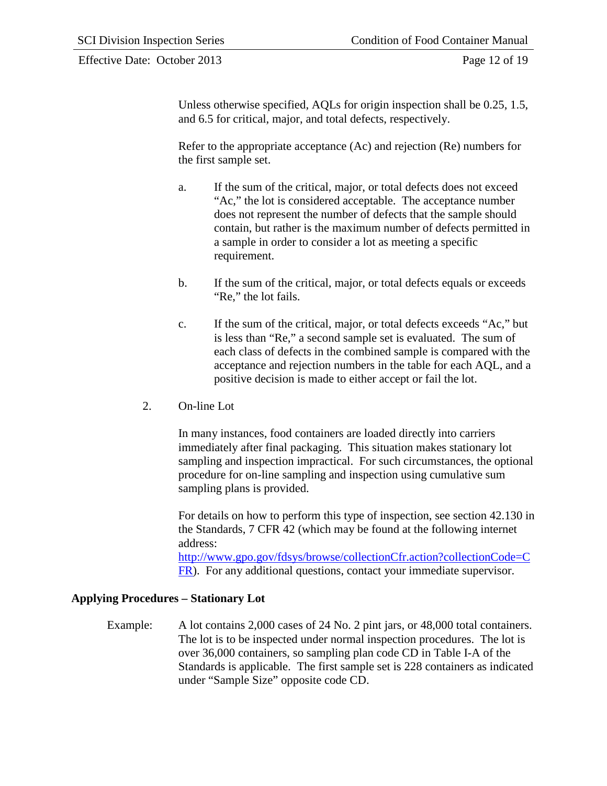#### Effective Date: October 2013 Page 12 of 19

Unless otherwise specified, AQLs for origin inspection shall be 0.25, 1.5, and 6.5 for critical, major, and total defects, respectively.

Refer to the appropriate acceptance (Ac) and rejection (Re) numbers for the first sample set.

- a. If the sum of the critical, major, or total defects does not exceed "Ac," the lot is considered acceptable. The acceptance number does not represent the number of defects that the sample should contain, but rather is the maximum number of defects permitted in a sample in order to consider a lot as meeting a specific requirement.
- b. If the sum of the critical, major, or total defects equals or exceeds "Re," the lot fails.
- c. If the sum of the critical, major, or total defects exceeds "Ac," but is less than "Re," a second sample set is evaluated. The sum of each class of defects in the combined sample is compared with the acceptance and rejection numbers in the table for each AQL, and a positive decision is made to either accept or fail the lot.
- 2. On-line Lot

In many instances, food containers are loaded directly into carriers immediately after final packaging. This situation makes stationary lot sampling and inspection impractical. For such circumstances, the optional procedure for on-line sampling and inspection using cumulative sum sampling plans is provided.

For details on how to perform this type of inspection, see section 42.130 in the Standards, 7 CFR 42 (which may be found at the following internet address:

[http://www.gpo.gov/fdsys/browse/collectionCfr.action?collectionCode=C](http://www.gpo.gov/fdsys/browse/collectionCfr.action?collectionCode=CFR) [FR\)](http://www.gpo.gov/fdsys/browse/collectionCfr.action?collectionCode=CFR). For any additional questions, contact your immediate supervisor.

### <span id="page-13-0"></span>**Applying Procedures – Stationary Lot**

Example: A lot contains 2,000 cases of 24 No. 2 pint jars, or 48,000 total containers. The lot is to be inspected under normal inspection procedures. The lot is over 36,000 containers, so sampling plan code CD in Table I-A of the Standards is applicable. The first sample set is 228 containers as indicated under "Sample Size" opposite code CD.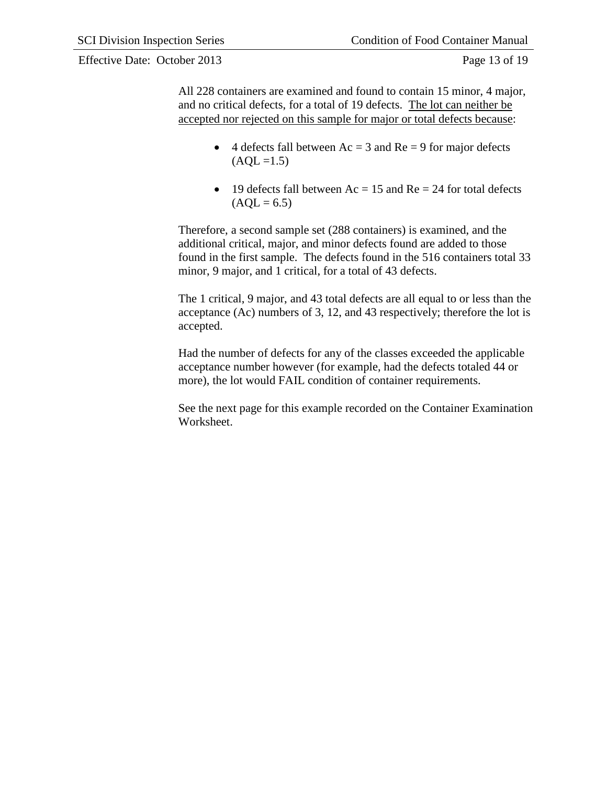Effective Date: October 2013 Page 13 of 19

All 228 containers are examined and found to contain 15 minor, 4 major, and no critical defects, for a total of 19 defects. The lot can neither be accepted nor rejected on this sample for major or total defects because:

- 4 defects fall between  $Ac = 3$  and  $Re = 9$  for major defects  $(AQL = 1.5)$
- 19 defects fall between  $Ac = 15$  and  $Re = 24$  for total defects  $(AOL = 6.5)$

Therefore, a second sample set (288 containers) is examined, and the additional critical, major, and minor defects found are added to those found in the first sample. The defects found in the 516 containers total 33 minor, 9 major, and 1 critical, for a total of 43 defects.

The 1 critical, 9 major, and 43 total defects are all equal to or less than the acceptance (Ac) numbers of 3, 12, and 43 respectively; therefore the lot is accepted.

Had the number of defects for any of the classes exceeded the applicable acceptance number however (for example, had the defects totaled 44 or more), the lot would FAIL condition of container requirements.

See the next page for this example recorded on the Container Examination Worksheet.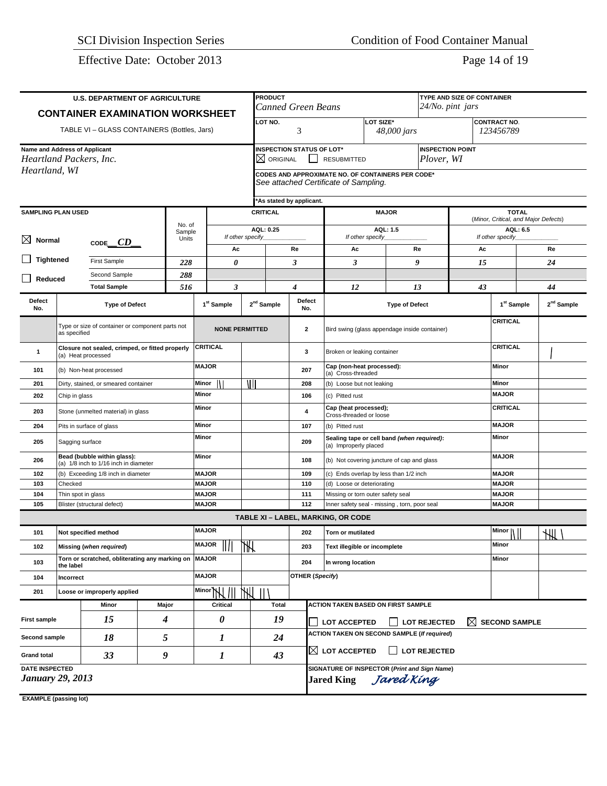Effective Date: October 2013 Page 14 of 19

| <b>U.S. DEPARTMENT OF AGRICULTURE</b>                                                 |                                                  |                                                                      |       |                                  |                              |                        | <b>PRODUCT</b><br>TYPE AND SIZE OF CONTAINER                                                                            |                |                                                                                   |                                                                     |           |                       |                   |              |                                                  |    |                        |  |
|---------------------------------------------------------------------------------------|--------------------------------------------------|----------------------------------------------------------------------|-------|----------------------------------|------------------------------|------------------------|-------------------------------------------------------------------------------------------------------------------------|----------------|-----------------------------------------------------------------------------------|---------------------------------------------------------------------|-----------|-----------------------|-------------------|--------------|--------------------------------------------------|----|------------------------|--|
| <b>CONTAINER EXAMINATION WORKSHEET</b>                                                |                                                  |                                                                      |       |                                  |                              |                        | <b>Canned Green Beans</b>                                                                                               |                |                                                                                   |                                                                     |           |                       | 24/No. pint jars  |              |                                                  |    |                        |  |
|                                                                                       |                                                  | TABLE VI - GLASS CONTAINERS (Bottles, Jars)                          |       |                                  |                              |                        | LOT NO.                                                                                                                 | 3              |                                                                                   |                                                                     | LOT SIZE* | 48,000 jars           |                   |              | <b>CONTRACT NO.</b><br>123456789                 |    |                        |  |
| Name and Address of Applicant<br>Heartland Packers, Inc.                              |                                                  |                                                                      |       |                                  |                              |                        | <b>INSPECTION STATUS OF LOT*</b><br><b>INSPECTION POINT</b><br>$\boxtimes$ original<br>Plover, WI<br><b>RESUBMITTED</b> |                |                                                                                   |                                                                     |           |                       |                   |              |                                                  |    |                        |  |
| Heartland, WI                                                                         |                                                  |                                                                      |       |                                  |                              |                        | CODES AND APPROXIMATE NO. OF CONTAINERS PER CODE*<br>See attached Certificate of Sampling.                              |                |                                                                                   |                                                                     |           |                       |                   |              |                                                  |    |                        |  |
|                                                                                       |                                                  |                                                                      |       |                                  |                              |                        | 'As stated by applicant.                                                                                                |                |                                                                                   |                                                                     |           |                       |                   |              |                                                  |    |                        |  |
| <b>SAMPLING PLAN USED</b>                                                             |                                                  |                                                                      |       |                                  |                              |                        | <b>CRITICAL</b><br><b>MAJOR</b>                                                                                         |                |                                                                                   |                                                                     |           |                       |                   |              | <b>TOTAL</b>                                     |    |                        |  |
|                                                                                       | No. of                                           |                                                                      |       |                                  |                              |                        | AQL: 0.25                                                                                                               |                |                                                                                   |                                                                     |           | AQL: 1.5              |                   |              | (Minor, Critical, and Major Defects)<br>AQL: 6.5 |    |                        |  |
| ⊠<br>Normal                                                                           |                                                  | Sample<br>Units                                                      |       | If other specify_                |                              |                        |                                                                                                                         |                | If other specify_                                                                 |                                                                     |           |                       | If other specify_ |              |                                                  |    |                        |  |
| CODE $CD$                                                                             |                                                  |                                                                      |       | Ac                               |                              |                        | Re                                                                                                                      |                | Ac                                                                                |                                                                     | Re        |                       | Ac                |              |                                                  | Re |                        |  |
| <b>Tightened</b>                                                                      |                                                  | <b>First Sample</b>                                                  |       | 228                              | 0                            |                        |                                                                                                                         | 3              |                                                                                   | 3                                                                   |           |                       | 9                 | 15           |                                                  |    | 24                     |  |
| Reduced                                                                               |                                                  | Second Sample                                                        |       | 288                              |                              |                        |                                                                                                                         |                |                                                                                   |                                                                     |           |                       |                   |              |                                                  |    |                        |  |
|                                                                                       |                                                  | <b>Total Sample</b>                                                  |       | 516                              | 3                            |                        |                                                                                                                         | 4              |                                                                                   | 12                                                                  |           | 13                    |                   | 43           |                                                  |    | 44                     |  |
| Defect<br>No.                                                                         |                                                  | <b>Type of Defect</b>                                                |       |                                  | 1 <sup>st</sup> Sample       |                        | 2 <sup>nd</sup> Sample                                                                                                  | Defect<br>No.  |                                                                                   |                                                                     |           | <b>Type of Defect</b> |                   |              | 1 <sup>st</sup> Sample                           |    | 2 <sup>nd</sup> Sample |  |
|                                                                                       | as specified                                     | Type or size of container or component parts not                     |       |                                  | <b>NONE PERMITTED</b>        |                        |                                                                                                                         | $\overline{2}$ |                                                                                   | Bird swing (glass appendage inside container)                       |           |                       |                   |              | <b>CRITICAL</b>                                  |    |                        |  |
| Closure not sealed, crimped, or fitted properly<br>$\mathbf{1}$<br>(a) Heat processed |                                                  |                                                                      |       | CRITICAL                         |                              | 3                      |                                                                                                                         |                | Broken or leaking container                                                       |                                                                     |           |                       | <b>CRITICAL</b>   |              |                                                  |    |                        |  |
| 101<br>(b) Non-heat processed                                                         |                                                  |                                                                      |       | <b>MAJOR</b>                     |                              |                        | 207                                                                                                                     |                | Cap (non-heat processed):<br>(a) Cross-threaded                                   |                                                                     |           |                       | Minor             |              |                                                  |    |                        |  |
| 201<br>Dirty, stained, or smeared container                                           |                                                  |                                                                      |       | $\overline{\mathbb{I}}$<br>Minor |                              |                        | 208                                                                                                                     |                | (b) Loose but not leaking                                                         |                                                                     |           |                       |                   | Minor        |                                                  |    |                        |  |
| 202                                                                                   | Chip in glass                                    |                                                                      |       |                                  | Minor                        |                        | 106                                                                                                                     |                | (c) Pitted rust                                                                   |                                                                     |           |                       |                   | <b>MAJOR</b> |                                                  |    |                        |  |
| 203                                                                                   |                                                  | Stone (unmelted material) in glass                                   |       |                                  | Minor                        |                        | 4                                                                                                                       |                | Cap (heat processed);<br>Cross-threaded or loose                                  |                                                                     |           |                       |                   | CRITICAL     |                                                  |    |                        |  |
| 204                                                                                   |                                                  | Pits in surface of glass                                             |       |                                  | Minor                        |                        |                                                                                                                         | 107            |                                                                                   | (b) Pitted rust                                                     |           |                       |                   |              | <b>MAJOR</b>                                     |    |                        |  |
| 205                                                                                   | Sagging surface                                  |                                                                      |       |                                  | Minor                        |                        |                                                                                                                         |                | 209                                                                               | Sealing tape or cell band (when required):<br>(a) Improperly placed |           |                       |                   |              | Minor                                            |    |                        |  |
| 206                                                                                   |                                                  | Bead (bubble within glass):<br>(a) 1/8 inch to 1/16 inch in diameter |       |                                  | Minor                        |                        |                                                                                                                         | 108            |                                                                                   | (b) Not covering juncture of cap and glass                          |           |                       |                   |              | <b>MAJOR</b>                                     |    |                        |  |
| 102                                                                                   |                                                  | (b) Exceeding 1/8 inch in diameter                                   |       |                                  | <b>MAJOR</b>                 |                        |                                                                                                                         |                | 109                                                                               | (c) Ends overlap by less than 1/2 inch                              |           |                       |                   |              | <b>MAJOR</b>                                     |    |                        |  |
| 103                                                                                   | Checked                                          |                                                                      |       |                                  | <b>MAJOR</b>                 |                        |                                                                                                                         | 110            |                                                                                   | (d) Loose or deteriorating                                          |           |                       |                   |              | <b>MAJOR</b>                                     |    |                        |  |
| 104                                                                                   | Thin spot in glass                               |                                                                      |       |                                  | <b>MAJOR</b>                 |                        | 111                                                                                                                     |                |                                                                                   | Missing or torn outer safety seal                                   |           |                       |                   | <b>MAJOR</b> |                                                  |    |                        |  |
| 105                                                                                   |                                                  | Blister (structural defect)                                          |       |                                  | <b>MAJOR</b>                 |                        |                                                                                                                         | 112            |                                                                                   | Inner safety seal - missing, torn, poor seal                        |           |                       |                   |              | <b>MAJOR</b>                                     |    |                        |  |
|                                                                                       |                                                  |                                                                      |       |                                  |                              |                        |                                                                                                                         |                |                                                                                   | TABLE XI - LABEL, MARKING, OR CODE                                  |           |                       |                   |              |                                                  |    |                        |  |
| 101                                                                                   |                                                  | Not specified method                                                 |       |                                  | <b>MAJOR</b><br><b>MAJOR</b> |                        |                                                                                                                         | 202            |                                                                                   | <b>Torn or mutilated</b>                                            |           |                       |                   |              | Minor $  $<br>Minor                              |    | $\frac{1}{2}$          |  |
| 102                                                                                   |                                                  | Missing (when required)                                              |       |                                  | Ш                            | ₩                      |                                                                                                                         | 203            |                                                                                   | Text illegible or incomplete                                        |           |                       |                   |              |                                                  |    |                        |  |
| 103                                                                                   | the label                                        | Torn or scratched, obliterating any marking on MAJOR                 |       |                                  |                              |                        |                                                                                                                         | 204            |                                                                                   | In wrong location                                                   |           |                       |                   |              | Minor                                            |    |                        |  |
| 104<br>Incorrect                                                                      |                                                  |                                                                      |       | <b>MAJOR</b>                     |                              | <b>OTHER (Specify)</b> |                                                                                                                         |                |                                                                                   |                                                                     |           |                       |                   |              |                                                  |    |                        |  |
| 201                                                                                   |                                                  | Loose or improperly applied                                          |       |                                  | Minor                        | ЖI                     |                                                                                                                         |                |                                                                                   |                                                                     |           |                       |                   |              |                                                  |    |                        |  |
|                                                                                       |                                                  | Minor                                                                | Major |                                  | Critical                     |                        | <b>Total</b>                                                                                                            |                |                                                                                   | ACTION TAKEN BASED ON FIRST SAMPLE                                  |           |                       |                   |              |                                                  |    |                        |  |
| <b>First sample</b>                                                                   |                                                  | 15                                                                   | 4     |                                  | 0                            |                        | 19                                                                                                                      |                | $\boxtimes$<br><b>SECOND SAMPLE</b><br><b>LOT ACCEPTED</b><br><b>LOT REJECTED</b> |                                                                     |           |                       |                   |              |                                                  |    |                        |  |
| Second sample                                                                         |                                                  | 18                                                                   | 5     |                                  | 1                            |                        | 24                                                                                                                      |                |                                                                                   | <b>ACTION TAKEN ON SECOND SAMPLE (If required)</b>                  |           |                       |                   |              |                                                  |    |                        |  |
| <b>Grand total</b>                                                                    |                                                  | 33                                                                   | 9     |                                  | 1                            |                        | 43                                                                                                                      |                | $\boxtimes$ lot accepted<br><b>LOT REJECTED</b>                                   |                                                                     |           |                       |                   |              |                                                  |    |                        |  |
|                                                                                       | <b>DATE INSPECTED</b><br><b>January 29, 2013</b> |                                                                      |       |                                  |                              |                        |                                                                                                                         |                |                                                                                   | SIGNATURE OF INSPECTOR (Print and Sign Name)<br><b>Jared King</b>   |           | Jared King            |                   |              |                                                  |    |                        |  |

**EXAMPLE (passing lot)**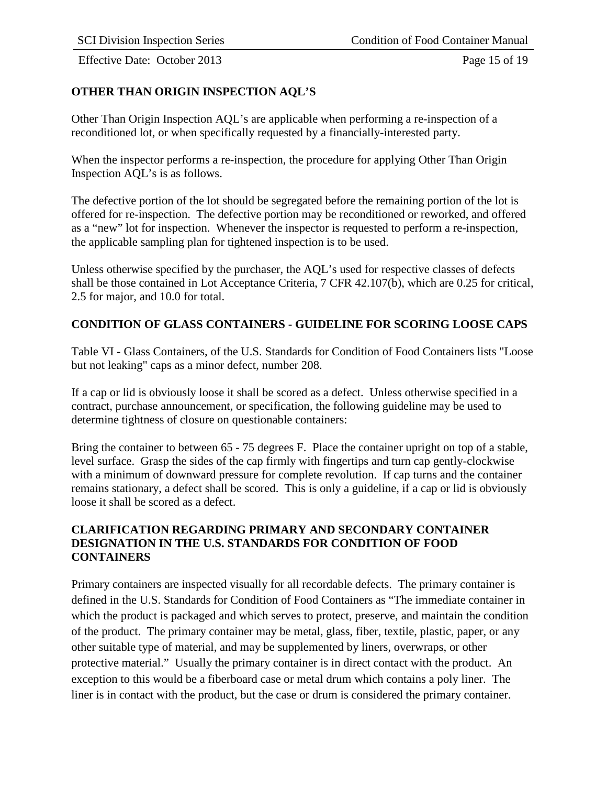Effective Date: October 2013 Page 15 of 19

# <span id="page-16-0"></span>**OTHER THAN ORIGIN INSPECTION AQL'S**

Other Than Origin Inspection AQL's are applicable when performing a re-inspection of a reconditioned lot, or when specifically requested by a financially-interested party.

When the inspector performs a re-inspection, the procedure for applying Other Than Origin Inspection AQL's is as follows.

The defective portion of the lot should be segregated before the remaining portion of the lot is offered for re-inspection. The defective portion may be reconditioned or reworked, and offered as a "new" lot for inspection. Whenever the inspector is requested to perform a re-inspection, the applicable sampling plan for tightened inspection is to be used.

Unless otherwise specified by the purchaser, the AQL's used for respective classes of defects shall be those contained in Lot Acceptance Criteria, 7 CFR 42.107(b), which are 0.25 for critical, 2.5 for major, and 10.0 for total.

### <span id="page-16-1"></span>**CONDITION OF GLASS CONTAINERS - GUIDELINE FOR SCORING LOOSE CAPS**

Table VI - Glass Containers, of the U.S. Standards for Condition of Food Containers lists "Loose but not leaking" caps as a minor defect, number 208.

If a cap or lid is obviously loose it shall be scored as a defect. Unless otherwise specified in a contract, purchase announcement, or specification, the following guideline may be used to determine tightness of closure on questionable containers:

Bring the container to between 65 - 75 degrees F. Place the container upright on top of a stable, level surface. Grasp the sides of the cap firmly with fingertips and turn cap gently-clockwise with a minimum of downward pressure for complete revolution. If cap turns and the container remains stationary, a defect shall be scored. This is only a guideline, if a cap or lid is obviously loose it shall be scored as a defect.

### <span id="page-16-2"></span>**CLARIFICATION REGARDING PRIMARY AND SECONDARY CONTAINER DESIGNATION IN THE U.S. STANDARDS FOR CONDITION OF FOOD CONTAINERS**

Primary containers are inspected visually for all recordable defects. The primary container is defined in the U.S. Standards for Condition of Food Containers as "The immediate container in which the product is packaged and which serves to protect, preserve, and maintain the condition of the product. The primary container may be metal, glass, fiber, textile, plastic, paper, or any other suitable type of material, and may be supplemented by liners, overwraps, or other protective material." Usually the primary container is in direct contact with the product. An exception to this would be a fiberboard case or metal drum which contains a poly liner. The liner is in contact with the product, but the case or drum is considered the primary container.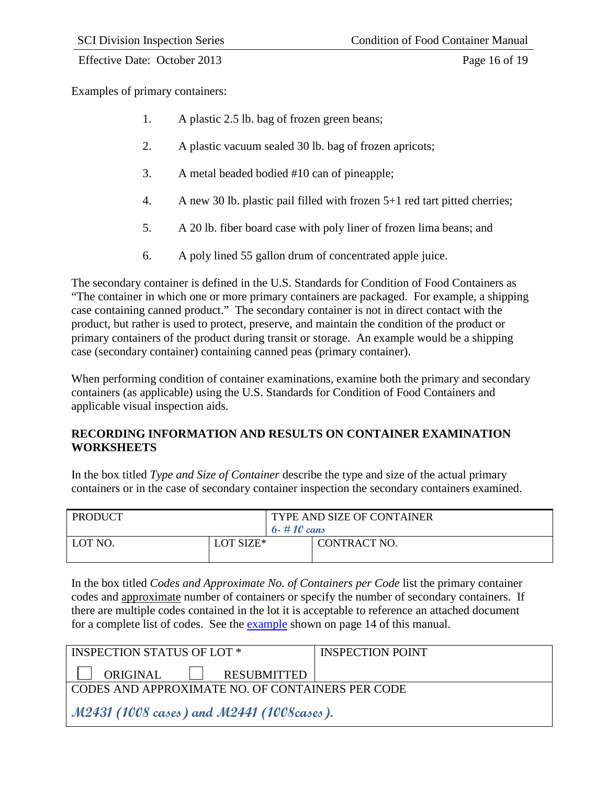#### Effective Date: October 2013 Page 16 of 19

Examples of primary containers:

- 1. A plastic 2.5 lb. bag of frozen green beans;
- 2. A plastic vacuum sealed 30 lb. bag of frozen apricots;
- 3. A metal beaded bodied #10 can of pineapple;
- 4. A new 30 lb. plastic pail filled with frozen 5+1 red tart pitted cherries;
- 5. A 20 lb. fiber board case with poly liner of frozen lima beans; and
- 6. A poly lined 55 gallon drum of concentrated apple juice.

The secondary container is defined in the U.S. Standards for Condition of Food Containers as "The container in which one or more primary containers are packaged. For example, a shipping case containing canned product." The secondary container is not in direct contact with the product, but rather is used to protect, preserve, and maintain the condition of the product or primary containers of the product during transit or storage. An example would be a shipping case (secondary container) containing canned peas (primary container).

When performing condition of container examinations, examine both the primary and secondary containers (as applicable) using the U.S. Standards for Condition of Food Containers and applicable visual inspection aids.

# <span id="page-17-0"></span>**RECORDING INFORMATION AND RESULTS ON CONTAINER EXAMINATION WORKSHEETS**

In the box titled *Type and Size of Container* describe the type and size of the actual primary containers or in the case of secondary container inspection the secondary containers examined.

| <b>PRODUCT</b> |           | TYPE AND SIZE OF CONTAINER |              |  |  |  |  |  |
|----------------|-----------|----------------------------|--------------|--|--|--|--|--|
|                |           | 6 - #10 cans               |              |  |  |  |  |  |
| LOT NO.        | LOT SIZE* |                            | CONTRACT NO. |  |  |  |  |  |

In the box titled *Codes and Approximate No. of Containers per Code* list the primary container codes and approximate number of containers or specify the number of secondary containers. If there are multiple codes contained in the lot it is acceptable to reference an attached document for a complete list of codes. See the example shown on page 14 of this manual.

| INSPECTION STATUS OF LOT *                       | <b>INSPECTION POINT</b> |
|--------------------------------------------------|-------------------------|
| ORIGINAL     RESUBMITTED                         |                         |
| CODES AND APPROXIMATE NO. OF CONTAINERS PER CODE |                         |
| M2431 (1008 cases) and M2441 (1008cases).        |                         |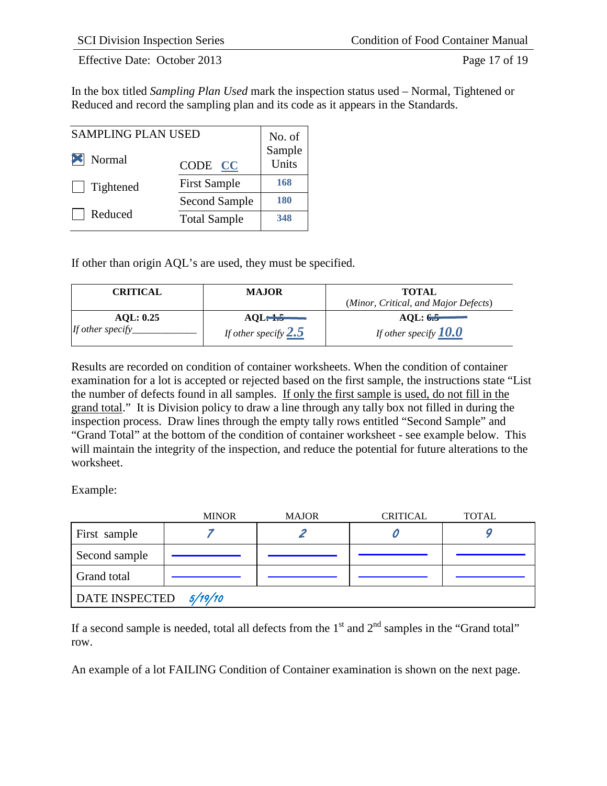Effective Date: October 2013 Page 17 of 19

In the box titled *Sampling Plan Used* mark the inspection status used – Normal, Tightened or Reduced and record the sampling plan and its code as it appears in the Standards.

| <b>SAMPLING PLAN USED</b>    |                      |                           |
|------------------------------|----------------------|---------------------------|
| $\blacktriangleright$ Normal | CODE CC              | No. of<br>Sample<br>Units |
| Tightened<br>$\mathbf{1}$    | <b>First Sample</b>  | 168                       |
|                              | <b>Second Sample</b> | 180                       |
| Reduced                      | <b>Total Sample</b>  | 348                       |

If other than origin AQL's are used, they must be specified.

| <b>CRITICAL</b>  | <b>MAJOR</b>           | <b>TOTAL</b><br>(Minor, Critical, and Major Defects) |
|------------------|------------------------|------------------------------------------------------|
| AOL: 0.25        |                        | AOL: $6.5$                                           |
| If other specify | If other specify $2.5$ | If other specify $10.0$                              |

Results are recorded on condition of container worksheets. When the condition of container examination for a lot is accepted or rejected based on the first sample, the instructions state "List the number of defects found in all samples. If only the first sample is used, do not fill in the grand total." It is Division policy to draw a line through any tally box not filled in during the inspection process. Draw lines through the empty tally rows entitled "Second Sample" and "Grand Total" at the bottom of the condition of container worksheet - see example below. This will maintain the integrity of the inspection, and reduce the potential for future alterations to the worksheet.

Example:

|                       | <b>MINOR</b> | <b>MAJOR</b> | <b>CRITICAL</b> | <b>TOTAL</b> |
|-----------------------|--------------|--------------|-----------------|--------------|
| First sample          |              |              |                 |              |
| Second sample         |              |              |                 |              |
| Grand total           |              |              |                 |              |
| <b>DATE INSPECTED</b> | 5/19/10      |              |                 |              |

If a second sample is needed, total all defects from the  $1<sup>st</sup>$  and  $2<sup>nd</sup>$  samples in the "Grand total" row.

An example of a lot FAILING Condition of Container examination is shown on the next page.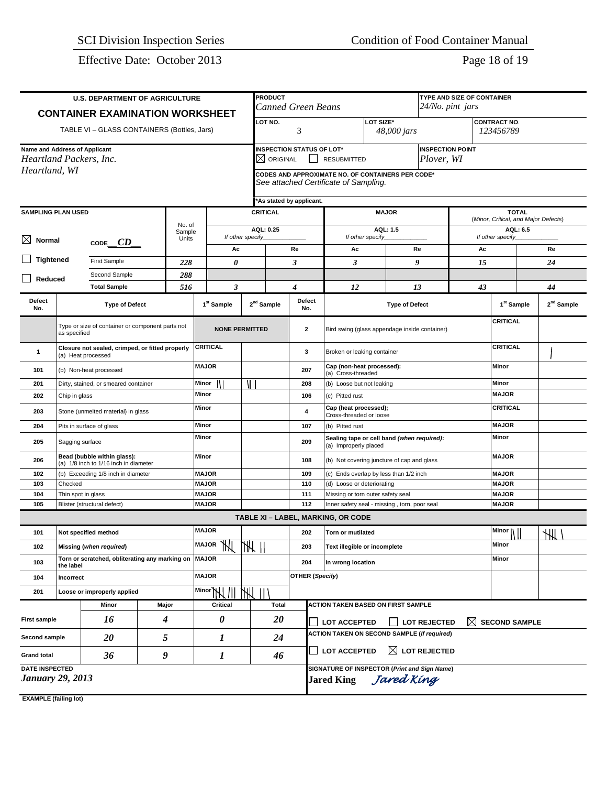Effective Date: October 2013 Page 18 of 19

| <b>U.S. DEPARTMENT OF AGRICULTURE</b>                                      |                                      |                                                                      |                   |                    |                              |                     | <b>PRODUCT</b><br>TYPE AND SIZE OF CONTAINER                                                                            |                                                 |                                                                     |                                                                                   |                       |                          |          |                                                      |                                  |               |                        |
|----------------------------------------------------------------------------|--------------------------------------|----------------------------------------------------------------------|-------------------|--------------------|------------------------------|---------------------|-------------------------------------------------------------------------------------------------------------------------|-------------------------------------------------|---------------------------------------------------------------------|-----------------------------------------------------------------------------------|-----------------------|--------------------------|----------|------------------------------------------------------|----------------------------------|---------------|------------------------|
|                                                                            |                                      | <b>CONTAINER EXAMINATION WORKSHEET</b>                               |                   |                    |                              |                     | <b>Canned Green Beans</b>                                                                                               |                                                 |                                                                     |                                                                                   |                       | 24/No. pint jars         |          |                                                      |                                  |               |                        |
|                                                                            |                                      | TABLE VI - GLASS CONTAINERS (Bottles, Jars)                          |                   |                    |                              |                     | LOT SIZE*<br>LOT NO.<br>3                                                                                               |                                                 |                                                                     |                                                                                   |                       | 48,000 jars              |          |                                                      | <b>CONTRACT NO.</b><br>123456789 |               |                        |
| Name and Address of Applicant<br>Heartland Packers, Inc.                   |                                      |                                                                      |                   |                    |                              |                     | <b>INSPECTION STATUS OF LOT*</b><br><b>INSPECTION POINT</b><br>$\boxtimes$ original<br>Plover, WI<br><b>RESUBMITTED</b> |                                                 |                                                                     |                                                                                   |                       |                          |          |                                                      |                                  |               |                        |
| Heartland, WI                                                              |                                      |                                                                      |                   |                    |                              |                     | CODES AND APPROXIMATE NO. OF CONTAINERS PER CODE*<br>See attached Certificate of Sampling.                              |                                                 |                                                                     |                                                                                   |                       |                          |          |                                                      |                                  |               |                        |
|                                                                            |                                      |                                                                      |                   |                    |                              |                     | 'As stated by applicant.                                                                                                |                                                 |                                                                     |                                                                                   |                       |                          |          |                                                      |                                  |               |                        |
| <b>SAMPLING PLAN USED</b>                                                  |                                      |                                                                      |                   |                    |                              |                     | <b>CRITICAL</b>                                                                                                         |                                                 |                                                                     |                                                                                   | <b>MAJOR</b>          |                          |          | <b>TOTAL</b><br>(Minor, Critical, and Major Defects) |                                  |               |                        |
| Sample                                                                     |                                      |                                                                      | No. of            |                    |                              | AQL: 0.25           |                                                                                                                         |                                                 |                                                                     | <b>AQL: 1.5</b>                                                                   |                       |                          | AQL: 6.5 |                                                      |                                  |               |                        |
| $\boxtimes$ Normal<br>CODE $CD$                                            |                                      | Units                                                                | If other specify_ |                    |                              |                     |                                                                                                                         | If other specify                                |                                                                     |                                                                                   |                       | If other specify_        |          |                                                      |                                  |               |                        |
| <b>Tightened</b>                                                           |                                      |                                                                      |                   |                    | Ac                           |                     |                                                                                                                         | Re                                              | Ac                                                                  |                                                                                   | Re                    |                          | Ac       |                                                      |                                  | Re            |                        |
|                                                                            |                                      | <b>First Sample</b>                                                  |                   | 228                | 0                            |                     |                                                                                                                         | 3                                               | 3                                                                   |                                                                                   | 9                     |                          | 15       |                                                      |                                  | 24            |                        |
| Reduced                                                                    |                                      | Second Sample<br><b>Total Sample</b>                                 |                   | 288<br>516         | 3                            |                     |                                                                                                                         | 4                                               | 12                                                                  |                                                                                   | 13                    |                          | 43       |                                                      |                                  | 44            |                        |
| Defect<br>No.                                                              |                                      | <b>Type of Defect</b>                                                |                   |                    | 1 <sup>st</sup> Sample       |                     | 2 <sup>nd</sup> Sample                                                                                                  | Defect<br>No.                                   |                                                                     |                                                                                   | <b>Type of Defect</b> |                          |          | 1 <sup>st</sup> Sample                               |                                  |               | 2 <sup>nd</sup> Sample |
|                                                                            |                                      | Type or size of container or component parts not                     |                   |                    | <b>NONE PERMITTED</b>        |                     |                                                                                                                         | $\mathbf{2}$                                    |                                                                     |                                                                                   |                       |                          |          | <b>CRITICAL</b>                                      |                                  |               |                        |
| as specified                                                               |                                      |                                                                      |                   |                    |                              |                     |                                                                                                                         |                                                 | Bird swing (glass appendage inside container)                       |                                                                                   |                       |                          |          |                                                      |                                  |               |                        |
| Closure not sealed, crimped, or fitted properly<br>1<br>(a) Heat processed |                                      |                                                                      |                   | CRITICAL           |                              |                     | 3                                                                                                                       | Broken or leaking container                     |                                                                     |                                                                                   |                       | <b>CRITICAL</b>          |          |                                                      |                                  |               |                        |
| 101<br>(b) Non-heat processed                                              |                                      |                                                                      |                   | <b>MAJOR</b>       |                              |                     | 207                                                                                                                     | Cap (non-heat processed):<br>(a) Cross-threaded |                                                                     |                                                                                   |                       |                          | Minor    |                                                      |                                  |               |                        |
| 201                                                                        | Dirty, stained, or smeared container |                                                                      |                   |                    | Minor                        | ١I                  |                                                                                                                         | 208                                             | (b) Loose but not leaking                                           |                                                                                   |                       |                          |          | Minor                                                |                                  |               |                        |
| 202                                                                        | Chip in glass                        |                                                                      |                   |                    | Minor                        |                     |                                                                                                                         | 106                                             |                                                                     | (c) Pitted rust                                                                   |                       |                          |          |                                                      |                                  |               |                        |
| 203                                                                        |                                      | Stone (unmelted material) in glass                                   |                   |                    | Minor                        |                     |                                                                                                                         | 4                                               |                                                                     | Cap (heat processed);<br>Cross-threaded or loose                                  |                       |                          |          |                                                      |                                  |               |                        |
| 204                                                                        |                                      | Pits in surface of glass                                             |                   |                    | Minor                        |                     |                                                                                                                         | 107                                             | (b) Pitted rust                                                     |                                                                                   |                       |                          |          | <b>MAJOR</b>                                         |                                  |               |                        |
| 205                                                                        | Sagging surface                      |                                                                      |                   |                    | Minor                        |                     | 209                                                                                                                     |                                                 | Sealing tape or cell band (when required):<br>(a) Improperly placed |                                                                                   |                       |                          | Minor    |                                                      |                                  |               |                        |
| 206                                                                        |                                      | Bead (bubble within glass):<br>(a) 1/8 inch to 1/16 inch in diameter |                   |                    | Minor                        |                     |                                                                                                                         | 108                                             |                                                                     | (b) Not covering juncture of cap and glass                                        |                       |                          |          |                                                      |                                  |               |                        |
| 102                                                                        |                                      | (b) Exceeding 1/8 inch in diameter                                   |                   |                    | <b>MAJOR</b>                 |                     |                                                                                                                         | 109<br>110                                      | (c) Ends overlap by less than 1/2 inch                              |                                                                                   |                       |                          |          | <b>MAJOR</b>                                         |                                  |               |                        |
| 103                                                                        | Checked                              |                                                                      |                   |                    | <b>MAJOR</b>                 |                     |                                                                                                                         |                                                 |                                                                     | (d) Loose or deteriorating                                                        |                       |                          |          | <b>MAJOR</b>                                         |                                  |               |                        |
| 104<br>105                                                                 | Thin spot in glass                   | Blister (structural defect)                                          |                   |                    | <b>MAJOR</b><br><b>MAJOR</b> |                     |                                                                                                                         |                                                 |                                                                     | Missing or torn outer safety seal<br>Inner safety seal - missing, torn, poor seal |                       |                          |          | <b>MAJOR</b><br><b>MAJOR</b>                         |                                  |               |                        |
|                                                                            |                                      |                                                                      |                   |                    |                              |                     |                                                                                                                         | 112                                             | TABLE XI - LABEL, MARKING, OR CODE                                  |                                                                                   |                       |                          |          |                                                      |                                  |               |                        |
| 101                                                                        |                                      | Not specified method                                                 |                   |                    | <b>MAJOR</b>                 |                     |                                                                                                                         | 202                                             | <b>Torn or mutilated</b>                                            |                                                                                   |                       |                          |          | Minor $  $                                           |                                  | $\frac{1}{2}$ |                        |
| 102                                                                        |                                      | Missing (when required)                                              |                   |                    | <b>MAJOR</b>                 | ١₩                  |                                                                                                                         | 203                                             |                                                                     | Text illegible or incomplete                                                      |                       |                          |          | Minor                                                |                                  |               |                        |
| 103                                                                        | the label                            | Torn or scratched, obliterating any marking on MAJOR                 |                   |                    |                              |                     |                                                                                                                         | 204                                             | In wrong location                                                   |                                                                                   |                       |                          |          | Minor                                                |                                  |               |                        |
| 104                                                                        | Incorrect                            |                                                                      |                   |                    | <b>MAJOR</b>                 |                     |                                                                                                                         | <b>OTHER (Specify)</b>                          |                                                                     |                                                                                   |                       |                          |          |                                                      |                                  |               |                        |
| 201                                                                        | Loose or improperly applied          |                                                                      |                   | Minor <sub>N</sub> | 州                            | $\mathbf{H}$        |                                                                                                                         |                                                 |                                                                     |                                                                                   |                       |                          |          |                                                      |                                  |               |                        |
|                                                                            |                                      | Minor                                                                | Major             |                    | Critical                     |                     | <b>Total</b>                                                                                                            |                                                 | ACTION TAKEN BASED ON FIRST SAMPLE                                  |                                                                                   |                       |                          |          |                                                      |                                  |               |                        |
| 16<br>4<br><b>First sample</b>                                             |                                      | 0                                                                    |                   | 20                 |                              | <b>LOT ACCEPTED</b> |                                                                                                                         |                                                 | <b>LOT REJECTED</b>                                                 | $\boxtimes$                                                                       | <b>SECOND SAMPLE</b>  |                          |          |                                                      |                                  |               |                        |
| Second sample                                                              |                                      | 20                                                                   | 5                 |                    | 1                            |                     | 24                                                                                                                      |                                                 | <b>ACTION TAKEN ON SECOND SAMPLE (If required)</b>                  |                                                                                   |                       |                          |          |                                                      |                                  |               |                        |
| <b>Grand total</b>                                                         |                                      | 36                                                                   | 9                 |                    | 1                            |                     | 46                                                                                                                      |                                                 | LOT ACCEPTED                                                        |                                                                                   |                       | $\boxtimes$ LOT REJECTED |          |                                                      |                                  |               |                        |
| <b>DATE INSPECTED</b>                                                      |                                      |                                                                      |                   |                    |                              |                     |                                                                                                                         |                                                 | SIGNATURE OF INSPECTOR (Print and Sign Name)                        |                                                                                   |                       |                          |          |                                                      |                                  |               |                        |
| <b>January 29, 2013</b>                                                    |                                      |                                                                      |                   |                    |                              |                     |                                                                                                                         |                                                 | <b>Jared King</b>                                                   |                                                                                   | Jared King            |                          |          |                                                      |                                  |               |                        |

**EXAMPLE (failing lot)**